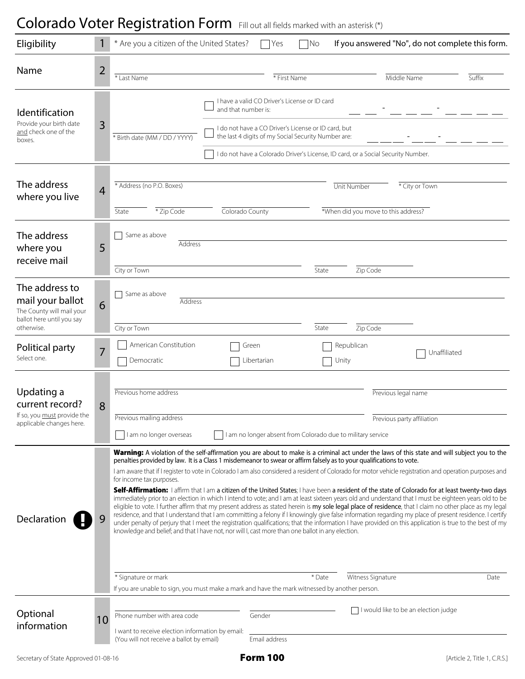# Colorado Voter Registration Form Fill out all fields marked with an asterisk (\*)

| Eligibility                                                                                  |    | * Are you a citizen of the United States?                                                                                                                                                                                                                                                                                                                                                                                                                                                                                                                                                                                                                                                                                                                                                                                                                                                                                       |                                                                                                            | Yes                  | No     |                                                                                  | If you answered "No", do not complete this form. |        |
|----------------------------------------------------------------------------------------------|----|---------------------------------------------------------------------------------------------------------------------------------------------------------------------------------------------------------------------------------------------------------------------------------------------------------------------------------------------------------------------------------------------------------------------------------------------------------------------------------------------------------------------------------------------------------------------------------------------------------------------------------------------------------------------------------------------------------------------------------------------------------------------------------------------------------------------------------------------------------------------------------------------------------------------------------|------------------------------------------------------------------------------------------------------------|----------------------|--------|----------------------------------------------------------------------------------|--------------------------------------------------|--------|
| Name                                                                                         | 2  | * Last Name                                                                                                                                                                                                                                                                                                                                                                                                                                                                                                                                                                                                                                                                                                                                                                                                                                                                                                                     |                                                                                                            | * First Name         |        |                                                                                  | Middle Name                                      | Suffix |
| Identification<br>Provide your birth date<br>and check one of the<br>boxes.                  | 3  | I have a valid CO Driver's License or ID card<br>and that number is:                                                                                                                                                                                                                                                                                                                                                                                                                                                                                                                                                                                                                                                                                                                                                                                                                                                            |                                                                                                            |                      |        |                                                                                  |                                                  |        |
|                                                                                              |    | * Birth date (MM / DD / YYYY)                                                                                                                                                                                                                                                                                                                                                                                                                                                                                                                                                                                                                                                                                                                                                                                                                                                                                                   | I do not have a CO Driver's License or ID card, but<br>the last 4 digits of my Social Security Number are: |                      |        |                                                                                  |                                                  |        |
|                                                                                              |    |                                                                                                                                                                                                                                                                                                                                                                                                                                                                                                                                                                                                                                                                                                                                                                                                                                                                                                                                 |                                                                                                            |                      |        | I do not have a Colorado Driver's License, ID card, or a Social Security Number. |                                                  |        |
| The address<br>where you live                                                                | 4  | * Address (no P.O. Boxes)<br>State<br>* Zip Code                                                                                                                                                                                                                                                                                                                                                                                                                                                                                                                                                                                                                                                                                                                                                                                                                                                                                | Colorado County                                                                                            |                      |        | Unit Number<br>*When did you move to this address?                               | * City or Town                                   |        |
| The address<br>where you<br>receive mail                                                     | 5  |                                                                                                                                                                                                                                                                                                                                                                                                                                                                                                                                                                                                                                                                                                                                                                                                                                                                                                                                 |                                                                                                            |                      |        |                                                                                  |                                                  |        |
|                                                                                              |    | Same as above<br>Address                                                                                                                                                                                                                                                                                                                                                                                                                                                                                                                                                                                                                                                                                                                                                                                                                                                                                                        |                                                                                                            |                      |        |                                                                                  |                                                  |        |
|                                                                                              |    | City or Town                                                                                                                                                                                                                                                                                                                                                                                                                                                                                                                                                                                                                                                                                                                                                                                                                                                                                                                    |                                                                                                            |                      | State  | Zip Code                                                                         |                                                  |        |
| The address to<br>mail your ballot<br>The County will mail your<br>ballot here until you say | 6  | Same as above<br>Address                                                                                                                                                                                                                                                                                                                                                                                                                                                                                                                                                                                                                                                                                                                                                                                                                                                                                                        |                                                                                                            |                      |        |                                                                                  |                                                  |        |
| otherwise.                                                                                   |    | City or Town                                                                                                                                                                                                                                                                                                                                                                                                                                                                                                                                                                                                                                                                                                                                                                                                                                                                                                                    |                                                                                                            |                      | State  | Zip Code                                                                         |                                                  |        |
| Political party<br>Select one.                                                               | 7  | American Constitution<br>Democratic                                                                                                                                                                                                                                                                                                                                                                                                                                                                                                                                                                                                                                                                                                                                                                                                                                                                                             |                                                                                                            | Green<br>Libertarian |        | Republican<br>Unity                                                              | Unaffiliated                                     |        |
| Updating a<br>current record?<br>If so, you must provide the<br>applicable changes here.     | 8  | Previous home address                                                                                                                                                                                                                                                                                                                                                                                                                                                                                                                                                                                                                                                                                                                                                                                                                                                                                                           |                                                                                                            |                      |        |                                                                                  | Previous legal name                              |        |
|                                                                                              |    |                                                                                                                                                                                                                                                                                                                                                                                                                                                                                                                                                                                                                                                                                                                                                                                                                                                                                                                                 |                                                                                                            |                      |        |                                                                                  |                                                  |        |
|                                                                                              |    | Previous mailing address<br>I am no longer overseas                                                                                                                                                                                                                                                                                                                                                                                                                                                                                                                                                                                                                                                                                                                                                                                                                                                                             |                                                                                                            |                      |        | I am no longer absent from Colorado due to military service                      | Previous party affiliation                       |        |
| Declaration                                                                                  |    | Warning: A violation of the self-affirmation you are about to make is a criminal act under the laws of this state and will subject you to the                                                                                                                                                                                                                                                                                                                                                                                                                                                                                                                                                                                                                                                                                                                                                                                   |                                                                                                            |                      |        |                                                                                  |                                                  |        |
|                                                                                              |    | penalties provided by law. It is a Class 1 misdemeanor to swear or affirm falsely as to your qualifications to vote.<br>I am aware that if I register to vote in Colorado I am also considered a resident of Colorado for motor vehicle registration and operation purposes and                                                                                                                                                                                                                                                                                                                                                                                                                                                                                                                                                                                                                                                 |                                                                                                            |                      |        |                                                                                  |                                                  |        |
|                                                                                              | 9  | for income tax purposes.<br>Self-Affirmation: I affirm that I am a citizen of the United States; I have been a resident of the state of Colorado for at least twenty-two days<br>immediately prior to an election in which I intend to vote; and I am at least sixteen years old and understand that I must be eighteen years old to be<br>eligible to vote. I further affirm that my present address as stated herein is my sole legal place of residence, that I claim no other place as my legal<br>residence, and that I understand that I am committing a felony if I knowingly give false information regarding my place of present residence. I certify<br>under penalty of perjury that I meet the registration qualifications; that the information I have provided on this application is true to the best of my<br>knowledge and belief; and that I have not, nor will I, cast more than one ballot in any election. |                                                                                                            |                      |        |                                                                                  |                                                  |        |
|                                                                                              |    |                                                                                                                                                                                                                                                                                                                                                                                                                                                                                                                                                                                                                                                                                                                                                                                                                                                                                                                                 |                                                                                                            |                      |        |                                                                                  |                                                  |        |
|                                                                                              |    | * Signature or mark<br>If you are unable to sign, you must make a mark and have the mark witnessed by another person.                                                                                                                                                                                                                                                                                                                                                                                                                                                                                                                                                                                                                                                                                                                                                                                                           |                                                                                                            |                      | * Date | Witness Signature                                                                |                                                  | Date   |
| Optional<br>information                                                                      |    |                                                                                                                                                                                                                                                                                                                                                                                                                                                                                                                                                                                                                                                                                                                                                                                                                                                                                                                                 |                                                                                                            |                      |        |                                                                                  | I would like to be an election judge             |        |
|                                                                                              | 10 | Phone number with area code                                                                                                                                                                                                                                                                                                                                                                                                                                                                                                                                                                                                                                                                                                                                                                                                                                                                                                     |                                                                                                            | Gender               |        |                                                                                  |                                                  |        |
|                                                                                              |    | I want to receive election information by email:<br>(You will not receive a ballot by email)                                                                                                                                                                                                                                                                                                                                                                                                                                                                                                                                                                                                                                                                                                                                                                                                                                    |                                                                                                            | Email address        |        |                                                                                  |                                                  |        |